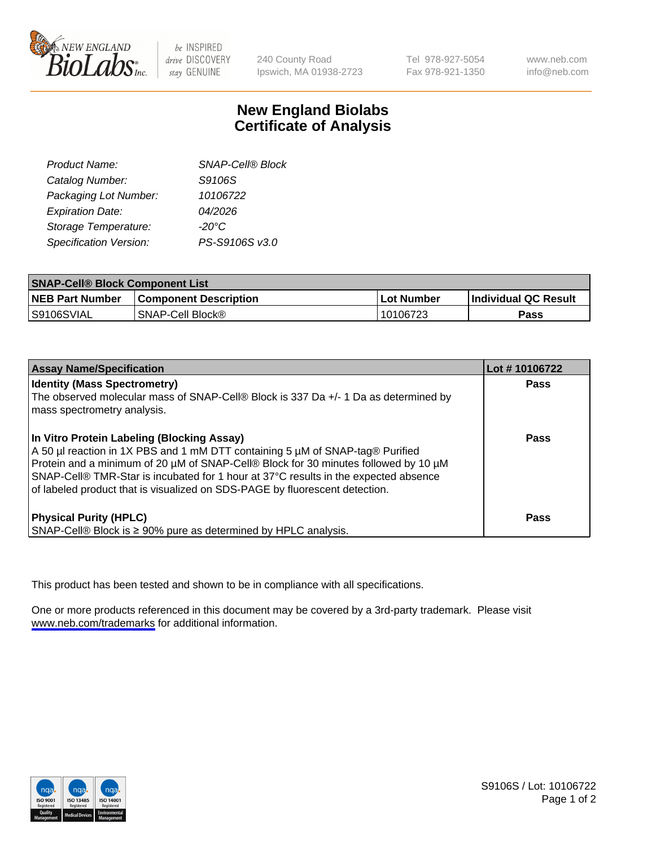

be INSPIRED drive DISCOVERY stay GENUINE

240 County Road Ipswich, MA 01938-2723 Tel 978-927-5054 Fax 978-921-1350

www.neb.com info@neb.com

## **New England Biolabs Certificate of Analysis**

| Product Name:           | <b>SNAP-Cell® Block</b> |
|-------------------------|-------------------------|
| Catalog Number:         | S9106S                  |
| Packaging Lot Number:   | 10106722                |
| <b>Expiration Date:</b> | 04/2026                 |
| Storage Temperature:    | $-20^{\circ}$ C         |
| Specification Version:  | PS-S9106S v3.0          |

| <b>SNAP-Cell® Block Component List</b> |                              |                   |                       |  |
|----------------------------------------|------------------------------|-------------------|-----------------------|--|
| <b>NEB Part Number</b>                 | <b>Component Description</b> | <b>Lot Number</b> | ∣Individual QC Result |  |
| S9106SVIAL                             | I SNAP-Cell Block®_          | 10106723          | Pass                  |  |

| <b>Assay Name/Specification</b>                                                                                                                                                                                                                                                                                                                                                          | Lot #10106722 |
|------------------------------------------------------------------------------------------------------------------------------------------------------------------------------------------------------------------------------------------------------------------------------------------------------------------------------------------------------------------------------------------|---------------|
| <b>Identity (Mass Spectrometry)</b><br>The observed molecular mass of SNAP-Cell® Block is 337 Da +/- 1 Da as determined by<br>mass spectrometry analysis.                                                                                                                                                                                                                                | <b>Pass</b>   |
| In Vitro Protein Labeling (Blocking Assay)<br>A 50 µl reaction in 1X PBS and 1 mM DTT containing 5 µM of SNAP-tag® Purified<br>Protein and a minimum of 20 µM of SNAP-Cell® Block for 30 minutes followed by 10 µM<br>SNAP-Cell® TMR-Star is incubated for 1 hour at 37°C results in the expected absence<br>of labeled product that is visualized on SDS-PAGE by fluorescent detection. | Pass          |
| <b>Physical Purity (HPLC)</b><br>SNAP-Cell® Block is ≥ 90% pure as determined by HPLC analysis.                                                                                                                                                                                                                                                                                          | Pass          |

This product has been tested and shown to be in compliance with all specifications.

One or more products referenced in this document may be covered by a 3rd-party trademark. Please visit <www.neb.com/trademarks>for additional information.